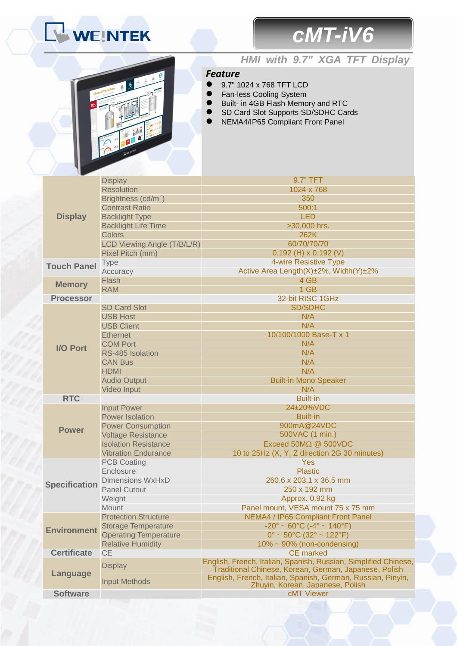# WEINTEK

## *cMT-iV6*



### *HMI with 9.7" XGA TFT Display*

#### *Feature*

- 9.7" 1024 x 768 TFT LCD
- **•** Fan-less Cooling System
- **Built- in 4GB Flash Memory and RTC**
- SD Card Slot Supports SD/SDHC Cards
- NEMA4/IP65 Compliant Front Panel

| <b>Display</b>       | <b>Display</b>                  | 9.7" TFT                                                                                                                 |
|----------------------|---------------------------------|--------------------------------------------------------------------------------------------------------------------------|
|                      | <b>Resolution</b>               | 1024 x 768                                                                                                               |
|                      | Brightness (cd/m <sup>2</sup> ) | 350                                                                                                                      |
|                      | <b>Contrast Ratio</b>           | 500:1                                                                                                                    |
|                      | <b>Backlight Type</b>           | <b>LED</b>                                                                                                               |
|                      | <b>Backlight Life Time</b>      | >30,000 hrs.                                                                                                             |
|                      | <b>Colors</b>                   | 262K                                                                                                                     |
|                      | LCD Viewing Angle (T/B/L/R)     | 60/70/70/70                                                                                                              |
|                      | Pixel Pitch (mm)                | $0.192$ (H) x $0.192$ (V)                                                                                                |
| <b>Touch Panel</b>   | <b>Type</b>                     | 4-wire Resistive Type                                                                                                    |
|                      | Accuracy                        | Active Area Length(X)±2%, Width(Y)±2%                                                                                    |
| <b>Memory</b>        | Flash                           | 4 GB                                                                                                                     |
|                      | <b>RAM</b>                      | 1 GB                                                                                                                     |
| <b>Processor</b>     |                                 | 32-bit RISC 1GHz                                                                                                         |
| <b>I/O Port</b>      | <b>SD Card Slot</b>             | <b>SD/SDHC</b>                                                                                                           |
|                      | <b>USB Host</b>                 | N/A<br>N/A                                                                                                               |
|                      | <b>USB Client</b>               |                                                                                                                          |
|                      | <b>Ethernet</b>                 | 10/100/1000 Base-T x 1                                                                                                   |
|                      | <b>COM Port</b>                 | N/A                                                                                                                      |
|                      | RS-485 Isolation                | N/A                                                                                                                      |
|                      | <b>CAN Bus</b>                  | N/A                                                                                                                      |
|                      | <b>HDMI</b>                     | N/A                                                                                                                      |
|                      | <b>Audio Output</b>             | <b>Built-in Mono Speaker</b>                                                                                             |
|                      | Video Input                     | N/A                                                                                                                      |
|                      |                                 |                                                                                                                          |
| <b>RTC</b>           |                                 | <b>Built-in</b>                                                                                                          |
|                      | <b>Input Power</b>              | 24±20%VDC                                                                                                                |
|                      | <b>Power Isolation</b>          | <b>Built-in</b>                                                                                                          |
| <b>Power</b>         | <b>Power Consumption</b>        | 900mA@24VDC                                                                                                              |
|                      | <b>Voltage Resistance</b>       | 500VAC (1 min.)                                                                                                          |
|                      | <b>Isolation Resistance</b>     | Exceed $50M\Omega$ @ $500VDC$                                                                                            |
|                      | <b>Vibration Endurance</b>      | 10 to 25Hz (X, Y, Z direction 2G 30 minutes)                                                                             |
|                      | <b>PCB Coating</b>              | Yes                                                                                                                      |
|                      | Enclosure                       | <b>Plastic</b>                                                                                                           |
| <b>Specification</b> | <b>Dimensions WxHxD</b>         | 260.6 x 203.1 x 36.5 mm                                                                                                  |
|                      | <b>Panel Cutout</b>             | 250 x 192 mm                                                                                                             |
|                      | Weight                          | Approx. 0.92 kg                                                                                                          |
|                      | <b>Mount</b>                    | Panel mount, VESA mount 75 x 75 mm                                                                                       |
|                      | <b>Protection Structure</b>     | NEMA4 / IP65 Compliant Front Panel                                                                                       |
| <b>Environment</b>   | <b>Storage Temperature</b>      | $-20^{\circ} \sim 60^{\circ}$ C ( $-4^{\circ} \sim 140^{\circ}$ F)                                                       |
|                      | <b>Operating Temperature</b>    | $0^{\circ}$ ~ 50 $^{\circ}$ C (32 $^{\circ}$ ~ 122 $^{\circ}$ F)                                                         |
|                      | <b>Relative Humidity</b>        | $10\% \sim 90\%$ (non-condensing)                                                                                        |
| <b>Certificate</b>   | <b>CE</b>                       | <b>CE</b> marked                                                                                                         |
|                      | <b>Display</b>                  | English, French, Italian, Spanish, Russian, Simplified Chinese,<br>Traditional Chinese, Korean, German, Japanese, Polish |
| <b>Language</b>      | <b>Input Methods</b>            | English, French, Italian, Spanish, German, Russian, Pinyin,<br>Zhuyin, Korean, Japanese, Polish                          |
| <b>Software</b>      |                                 | cMT Viewer                                                                                                               |